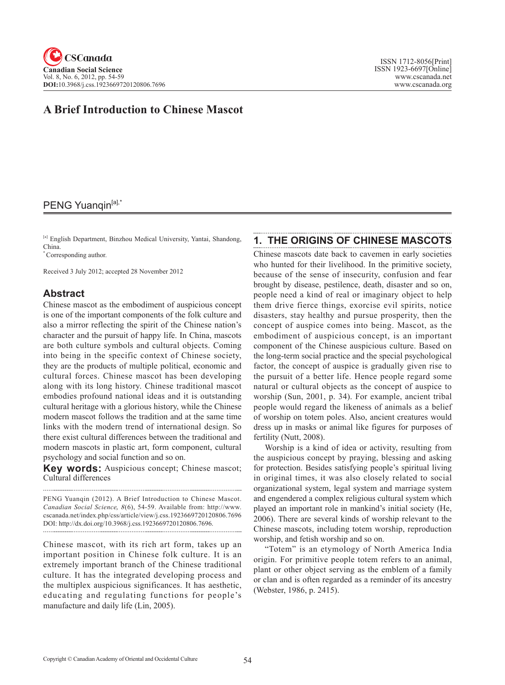## **A Brief Introduction to Chinese Mascot**

# PENG Yuanqin<sup>[a],\*</sup>

[a] English Department, Binzhou Medical University, Yantai, Shandong, China.

\* Corresponding author.

Received 3 July 2012; accepted 28 November 2012

#### **Abstract**

Chinese mascot as the embodiment of auspicious concept is one of the important components of the folk culture and also a mirror reflecting the spirit of the Chinese nation's character and the pursuit of happy life. In China, mascots are both culture symbols and cultural objects. Coming into being in the specific context of Chinese society, they are the products of multiple political, economic and cultural forces. Chinese mascot has been developing along with its long history. Chinese traditional mascot embodies profound national ideas and it is outstanding cultural heritage with a glorious history, while the Chinese modern mascot follows the tradition and at the same time links with the modern trend of international design. So there exist cultural differences between the traditional and modern mascots in plastic art, form component, cultural psychology and social function and so on.

**Key words:** Auspicious concept; Chinese mascot; Cultural differences

PENG Yuanqin (2012). A Brief Introduction to Chinese Mascot. *Canadian Social Science*, <sup>8</sup>(6), 54-59. Available from: http://www. cscanada.net/index.php/css/article/view/j.css.1923669720120806.7696 DOI: http://dx.doi.org/10.3968/j.css.1923669720120806.7696. 

Chinese mascot, with its rich art form, takes up an important position in Chinese folk culture. It is an extremely important branch of the Chinese traditional culture. It has the integrated developing process and the multiplex auspicious significances. It has aesthetic, educating and regulating functions for people's manufacture and daily life (Lin, 2005).

#### **1. THE ORIGINS OF CHINESE MASCOTS**

Chinese mascots date back to cavemen in early societies who hunted for their livelihood. In the primitive society, because of the sense of insecurity, confusion and fear brought by disease, pestilence, death, disaster and so on, people need a kind of real or imaginary object to help them drive fierce things, exorcise evil spirits, notice disasters, stay healthy and pursue prosperity, then the concept of auspice comes into being. Mascot, as the embodiment of auspicious concept, is an important component of the Chinese auspicious culture. Based on the long-term social practice and the special psychological factor, the concept of auspice is gradually given rise to the pursuit of a better life. Hence people regard some natural or cultural objects as the concept of auspice to worship (Sun, 2001, p. 34). For example, ancient tribal people would regard the likeness of animals as a belief of worship on totem poles. Also, ancient creatures would dress up in masks or animal like figures for purposes of fertility (Nutt, 2008).

Worship is a kind of idea or activity, resulting from the auspicious concept by praying, blessing and asking for protection. Besides satisfying people's spiritual living in original times, it was also closely related to social organizational system, legal system and marriage system and engendered a complex religious cultural system which played an important role in mankind's initial society (He, 2006). There are several kinds of worship relevant to the Chinese mascots, including totem worship, reproduction worship, and fetish worship and so on.

"Totem" is an etymology of North America India origin. For primitive people totem refers to an animal, plant or other object serving as the emblem of a family or clan and is often regarded as a reminder of its ancestry (Webster, 1986, p. 2415).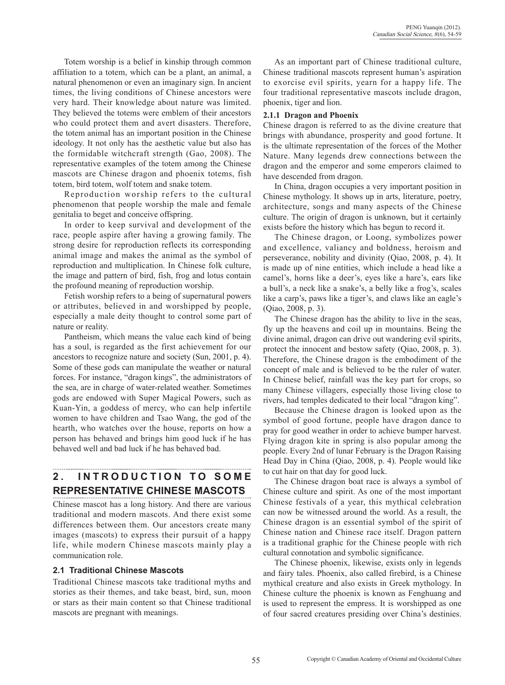Totem worship is a belief in kinship through common affiliation to a totem, which can be a plant, an animal, a natural phenomenon or even an imaginary sign. In ancient times, the living conditions of Chinese ancestors were very hard. Their knowledge about nature was limited. They believed the totems were emblem of their ancestors who could protect them and avert disasters. Therefore, the totem animal has an important position in the Chinese ideology. It not only has the aesthetic value but also has the formidable witchcraft strength (Gao, 2008). The representative examples of the totem among the Chinese mascots are Chinese dragon and phoenix totems, fish totem, bird totem, wolf totem and snake totem.

Reproduction worship refers to the cultural phenomenon that people worship the male and female genitalia to beget and conceive offspring.

In order to keep survival and development of the race, people aspire after having a growing family. The strong desire for reproduction reflects its corresponding animal image and makes the animal as the symbol of reproduction and multiplication. In Chinese folk culture, the image and pattern of bird, fish, frog and lotus contain the profound meaning of reproduction worship.

Fetish worship refers to a being of supernatural powers or attributes, believed in and worshipped by people, especially a male deity thought to control some part of nature or reality.

Pantheism, which means the value each kind of being has a soul, is regarded as the first achievement for our ancestors to recognize nature and society (Sun, 2001, p. 4). Some of these gods can manipulate the weather or natural forces. For instance, "dragon kings", the administrators of the sea, are in charge of water-related weather. Sometimes gods are endowed with Super Magical Powers, such as Kuan-Yin, a goddess of mercy, who can help infertile women to have children and Tsao Wang, the god of the hearth, who watches over the house, reports on how a person has behaved and brings him good luck if he has behaved well and bad luck if he has behaved bad.

# 2. INTRODUCTION TO SOME **REPRESENTATIVE CHINESE MASCOTS**

Chinese mascot has a long history. And there are various traditional and modern mascots. And there exist some differences between them. Our ancestors create many images (mascots) to express their pursuit of a happy life, while modern Chinese mascots mainly play a communication role.

#### **2.1 Traditional Chinese Mascots**

Traditional Chinese mascots take traditional myths and stories as their themes, and take beast, bird, sun, moon or stars as their main content so that Chinese traditional mascots are pregnant with meanings.

As an important part of Chinese traditional culture, Chinese traditional mascots represent human's aspiration to exorcise evil spirits, yearn for a happy life. The four traditional representative mascots include dragon, phoenix, tiger and lion.

#### **2.1.1 Dragon and Phoenix**

Chinese dragon is referred to as the divine creature that brings with abundance, prosperity and good fortune. It is the ultimate representation of the forces of the Mother Nature. Many legends drew connections between the dragon and the emperor and some emperors claimed to have descended from dragon.

In China, dragon occupies a very important position in Chinese mythology. It shows up in arts, literature, poetry, architecture, songs and many aspects of the Chinese culture. The origin of dragon is unknown, but it certainly exists before the history which has begun to record it.

The Chinese dragon, or Loong, symbolizes power and excellence, valiancy and boldness, heroism and perseverance, nobility and divinity (Qiao, 2008, p. 4). It is made up of nine entities, which include a head like a camel's, horns like a deer's, eyes like a hare's, ears like a bull's, a neck like a snake's, a belly like a frog's, scales like a carp's, paws like a tiger's, and claws like an eagle's (Qiao, 2008, p. 3).

The Chinese dragon has the ability to live in the seas, fly up the heavens and coil up in mountains. Being the divine animal, dragon can drive out wandering evil spirits, protect the innocent and bestow safety (Qiao, 2008, p. 3). Therefore, the Chinese dragon is the embodiment of the concept of male and is believed to be the ruler of water. In Chinese belief, rainfall was the key part for crops, so many Chinese villagers, especially those living close to rivers, had temples dedicated to their local "dragon king".

Because the Chinese dragon is looked upon as the symbol of good fortune, people have dragon dance to pray for good weather in order to achieve bumper harvest. Flying dragon kite in spring is also popular among the people. Every 2nd of lunar February is the Dragon Raising Head Day in China (Qiao, 2008, p. 4). People would like to cut hair on that day for good luck.

The Chinese dragon boat race is always a symbol of Chinese culture and spirit. As one of the most important Chinese festivals of a year, this mythical celebration can now be witnessed around the world. As a result, the Chinese dragon is an essential symbol of the spirit of Chinese nation and Chinese race itself. Dragon pattern is a traditional graphic for the Chinese people with rich cultural connotation and symbolic significance.

The Chinese phoenix, likewise, exists only in legends and fairy tales. Phoenix, also called firebird, is a Chinese mythical creature and also exists in Greek mythology. In Chinese culture the phoenix is known as Fenghuang and is used to represent the empress. It is worshipped as one of four sacred creatures presiding over China's destinies.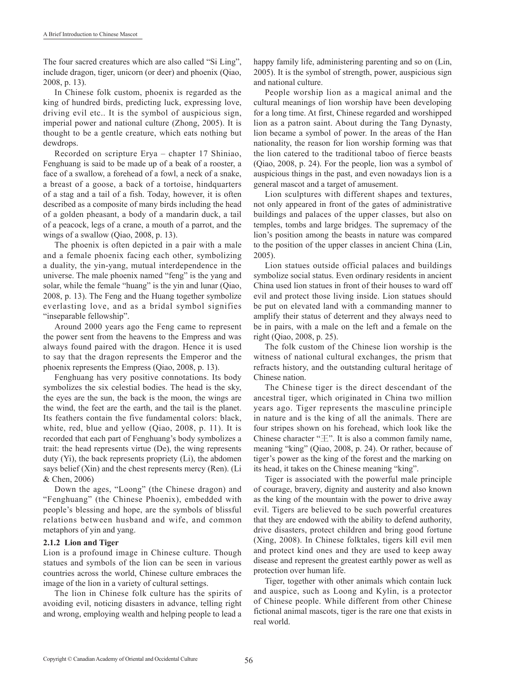The four sacred creatures which are also called "Si Ling", include dragon, tiger, unicorn (or deer) and phoenix (Qiao, 2008, p. 13).

In Chinese folk custom, phoenix is regarded as the king of hundred birds, predicting luck, expressing love, driving evil etc.. It is the symbol of auspicious sign, imperial power and national culture (Zhong, 2005). It is thought to be a gentle creature, which eats nothing but dewdrops.

Recorded on scripture Erya – chapter 17 Shiniao, Fenghuang is said to be made up of a beak of a rooster, a face of a swallow, a forehead of a fowl, a neck of a snake, a breast of a goose, a back of a tortoise, hindquarters of a stag and a tail of a fish. Today, however, it is often described as a composite of many birds including the head of a golden pheasant, a body of a mandarin duck, a tail of a peacock, legs of a crane, a mouth of a parrot, and the wings of a swallow (Qiao, 2008, p. 13).

The phoenix is often depicted in a pair with a male and a female phoenix facing each other, symbolizing a duality, the yin-yang, mutual interdependence in the universe. The male phoenix named "feng" is the yang and solar, while the female "huang" is the yin and lunar (Qiao, 2008, p. 13). The Feng and the Huang together symbolize everlasting love, and as a bridal symbol signifies "inseparable fellowship".

Around 2000 years ago the Feng came to represent the power sent from the heavens to the Empress and was always found paired with the dragon. Hence it is used to say that the dragon represents the Emperor and the phoenix represents the Empress (Qiao, 2008, p. 13).

Fenghuang has very positive connotations. Its body symbolizes the six celestial bodies. The head is the sky, the eyes are the sun, the back is the moon, the wings are the wind, the feet are the earth, and the tail is the planet. Its feathers contain the five fundamental colors: black, white, red, blue and yellow (Qiao, 2008, p. 11). It is recorded that each part of Fenghuang's body symbolizes a trait: the head represents virtue (De), the wing represents duty (Yi), the back represents propriety (Li), the abdomen says belief (Xin) and the chest represents mercy (Ren). (Li & Chen, 2006)

Down the ages, "Loong" (the Chinese dragon) and "Fenghuang" (the Chinese Phoenix), embedded with people's blessing and hope, are the symbols of blissful relations between husband and wife, and common metaphors of yin and yang.

#### **2.1.2 Lion and Tiger**

Lion is a profound image in Chinese culture. Though statues and symbols of the lion can be seen in various countries across the world, Chinese culture embraces the image of the lion in a variety of cultural settings.

The lion in Chinese folk culture has the spirits of avoiding evil, noticing disasters in advance, telling right and wrong, employing wealth and helping people to lead a happy family life, administering parenting and so on (Lin, 2005). It is the symbol of strength, power, auspicious sign and national culture.

People worship lion as a magical animal and the cultural meanings of lion worship have been developing for a long time. At first, Chinese regarded and worshipped lion as a patron saint. About during the Tang Dynasty, lion became a symbol of power. In the areas of the Han nationality, the reason for lion worship forming was that the lion catered to the traditional taboo of fierce beasts (Qiao, 2008, p. 24). For the people, lion was a symbol of auspicious things in the past, and even nowadays lion is a general mascot and a target of amusement.

Lion sculptures with different shapes and textures, not only appeared in front of the gates of administrative buildings and palaces of the upper classes, but also on temples, tombs and large bridges. The supremacy of the lion's position among the beasts in nature was compared to the position of the upper classes in ancient China (Lin, 2005).

Lion statues outside official palaces and buildings symbolize social status. Even ordinary residents in ancient China used lion statues in front of their houses to ward off evil and protect those living inside. Lion statues should be put on elevated land with a commanding manner to amplify their status of deterrent and they always need to be in pairs, with a male on the left and a female on the right (Qiao, 2008, p. 25).

The folk custom of the Chinese lion worship is the witness of national cultural exchanges, the prism that refracts history, and the outstanding cultural heritage of Chinese nation.

The Chinese tiger is the direct descendant of the ancestral tiger, which originated in China two million years ago. Tiger represents the masculine principle in nature and is the king of all the animals. There are four stripes shown on his forehead, which look like the Chinese character " $\pm$ ". It is also a common family name, meaning "king" (Qiao, 2008, p. 24). Or rather, because of tiger's power as the king of the forest and the marking on its head, it takes on the Chinese meaning "king".

Tiger is associated with the powerful male principle of courage, bravery, dignity and austerity and also known as the king of the mountain with the power to drive away evil. Tigers are believed to be such powerful creatures that they are endowed with the ability to defend authority, drive disasters, protect children and bring good fortune (Xing, 2008). In Chinese folktales, tigers kill evil men and protect kind ones and they are used to keep away disease and represent the greatest earthly power as well as protection over human life.

Tiger, together with other animals which contain luck and auspice, such as Loong and Kylin, is a protector of Chinese people. While different from other Chinese fictional animal mascots, tiger is the rare one that exists in real world.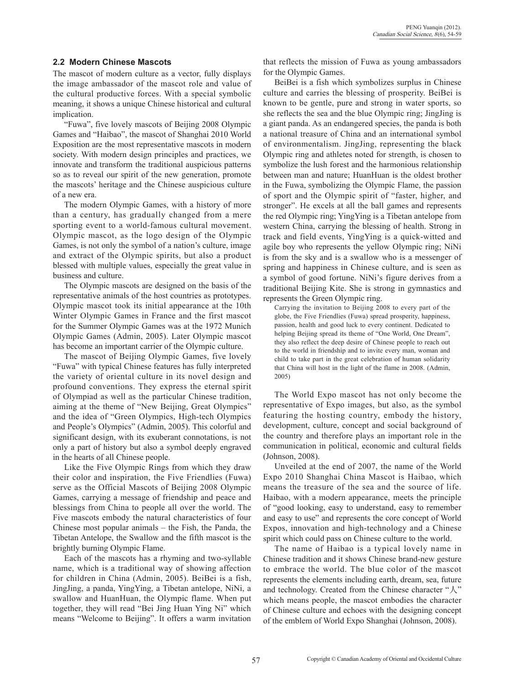#### **2.2 Modern Chinese Mascots**

The mascot of modern culture as a vector, fully displays the image ambassador of the mascot role and value of the cultural productive forces. With a special symbolic meaning, it shows a unique Chinese historical and cultural implication.

"Fuwa", five lovely mascots of Beijing 2008 Olympic Games and "Haibao", the mascot of Shanghai 2010 World Exposition are the most representative mascots in modern society. With modern design principles and practices, we innovate and transform the traditional auspicious patterns so as to reveal our spirit of the new generation, promote the mascots' heritage and the Chinese auspicious culture of a new era.

The modern Olympic Games, with a history of more than a century, has gradually changed from a mere sporting event to a world-famous cultural movement. Olympic mascot, as the logo design of the Olympic Games, is not only the symbol of a nation's culture, image and extract of the Olympic spirits, but also a product blessed with multiple values, especially the great value in business and culture.

The Olympic mascots are designed on the basis of the representative animals of the host countries as prototypes. Olympic mascot took its initial appearance at the 10th Winter Olympic Games in France and the first mascot for the Summer Olympic Games was at the 1972 Munich Olympic Games (Admin, 2005). Later Olympic mascot has become an important carrier of the Olympic culture.

The mascot of Beijing Olympic Games, five lovely "Fuwa" with typical Chinese features has fully interpreted the variety of oriental culture in its novel design and profound conventions. They express the eternal spirit of Olympiad as well as the particular Chinese tradition, aiming at the theme of "New Beijing, Great Olympics" and the idea of "Green Olympics, High-tech Olympics and People's Olympics" (Admin, 2005). This colorful and significant design, with its exuberant connotations, is not only a part of history but also a symbol deeply engraved in the hearts of all Chinese people.

Like the Five Olympic Rings from which they draw their color and inspiration, the Five Friendlies (Fuwa) serve as the Official Mascots of Beijing 2008 Olympic Games, carrying a message of friendship and peace and blessings from China to people all over the world. The Five mascots embody the natural characteristics of four Chinese most popular animals – the Fish, the Panda, the Tibetan Antelope, the Swallow and the fifth mascot is the brightly burning Olympic Flame.

Each of the mascots has a rhyming and two-syllable name, which is a traditional way of showing affection for children in China (Admin, 2005). BeiBei is a fish, JingJing, a panda, YingYing, a Tibetan antelope, NiNi, a swallow and HuanHuan, the Olympic flame. When put together, they will read "Bei Jing Huan Ying Ni" which means "Welcome to Beijing". It offers a warm invitation

that reflects the mission of Fuwa as young ambassadors for the Olympic Games.

BeiBei is a fish which symbolizes surplus in Chinese culture and carries the blessing of prosperity. BeiBei is known to be gentle, pure and strong in water sports, so she reflects the sea and the blue Olympic ring; JingJing is a giant panda. As an endangered species, the panda is both a national treasure of China and an international symbol of environmentalism. JingJing, representing the black Olympic ring and athletes noted for strength, is chosen to symbolize the lush forest and the harmonious relationship between man and nature; HuanHuan is the oldest brother in the Fuwa, symbolizing the Olympic Flame, the passion of sport and the Olympic spirit of "faster, higher, and stronger". He excels at all the ball games and represents the red Olympic ring; YingYing is a Tibetan antelope from western China, carrying the blessing of health. Strong in track and field events, YingYing is a quick-witted and agile boy who represents the yellow Olympic ring; NiNi is from the sky and is a swallow who is a messenger of spring and happiness in Chinese culture, and is seen as a symbol of good fortune. NiNi's figure derives from a traditional Beijing Kite. She is strong in gymnastics and represents the Green Olympic ring.

Carrying the invitation to Beijing 2008 to every part of the globe, the Five Friendlies (Fuwa) spread prosperity, happiness, passion, health and good luck to every continent. Dedicated to helping Beijing spread its theme of "One World, One Dream", they also reflect the deep desire of Chinese people to reach out to the world in friendship and to invite every man, woman and child to take part in the great celebration of human solidarity that China will host in the light of the flame in 2008. (Admin, 2005)

The World Expo mascot has not only become the representative of Expo images, but also, as the symbol featuring the hosting country, embody the history, development, culture, concept and social background of the country and therefore plays an important role in the communication in political, economic and cultural fields (Johnson, 2008).

Unveiled at the end of 2007, the name of the World Expo 2010 Shanghai China Mascot is Haibao, which means the treasure of the sea and the source of life. Haibao, with a modern appearance, meets the principle of "good looking, easy to understand, easy to remember and easy to use" and represents the core concept of World Expos, innovation and high-technology and a Chinese spirit which could pass on Chinese culture to the world.

The name of Haibao is a typical lovely name in Chinese tradition and it shows Chinese brand-new gesture to embrace the world. The blue color of the mascot represents the elements including earth, dream, sea, future and technology. Created from the Chinese character "人" which means people, the mascot embodies the character of Chinese culture and echoes with the designing concept of the emblem of World Expo Shanghai (Johnson, 2008).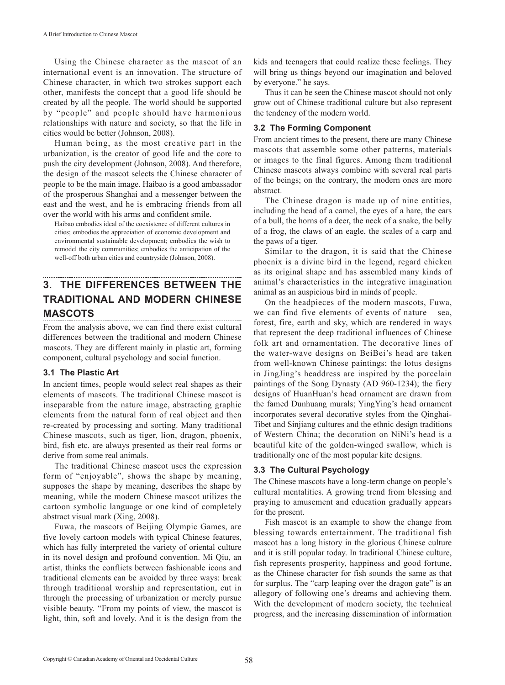Using the Chinese character as the mascot of an international event is an innovation. The structure of Chinese character, in which two strokes support each other, manifests the concept that a good life should be created by all the people. The world should be supported by "people" and people should have harmonious relationships with nature and society, so that the life in cities would be better (Johnson, 2008).

Human being, as the most creative part in the urbanization, is the creator of good life and the core to push the city development (Johnson, 2008). And therefore, the design of the mascot selects the Chinese character of people to be the main image. Haibao is a good ambassador of the prosperous Shanghai and a messenger between the east and the west, and he is embracing friends from all over the world with his arms and confident smile.

Haibao embodies ideal of the coexistence of different cultures in cities; embodies the appreciation of economic development and environmental sustainable development; embodies the wish to remodel the city communities; embodies the anticipation of the well-off both urban cities and countryside (Johnson, 2008).

# **3. THE DIFFERENCES BETWEEN THE TRADITIONAL AND MODERN CHINESE MASCOTS**

From the analysis above, we can find there exist cultural differences between the traditional and modern Chinese mascots. They are different mainly in plastic art, forming component, cultural psychology and social function.

#### **3.1 The Plastic Art**

In ancient times, people would select real shapes as their elements of mascots. The traditional Chinese mascot is inseparable from the nature image, abstracting graphic elements from the natural form of real object and then re-created by processing and sorting. Many traditional Chinese mascots, such as tiger, lion, dragon, phoenix, bird, fish etc. are always presented as their real forms or derive from some real animals.

The traditional Chinese mascot uses the expression form of "enjoyable", shows the shape by meaning, supposes the shape by meaning, describes the shape by meaning, while the modern Chinese mascot utilizes the cartoon symbolic language or one kind of completely abstract visual mark (Xing, 2008).

Fuwa, the mascots of Beijing Olympic Games, are five lovely cartoon models with typical Chinese features, which has fully interpreted the variety of oriental culture in its novel design and profound convention. Mi Qiu, an artist, thinks the conflicts between fashionable icons and traditional elements can be avoided by three ways: break through traditional worship and representation, cut in through the processing of urbanization or merely pursue visible beauty. "From my points of view, the mascot is light, thin, soft and lovely. And it is the design from the kids and teenagers that could realize these feelings. They will bring us things beyond our imagination and beloved by everyone." he says.

Thus it can be seen the Chinese mascot should not only grow out of Chinese traditional culture but also represent the tendency of the modern world.

## **3.2 The Forming Component**

From ancient times to the present, there are many Chinese mascots that assemble some other patterns, materials or images to the final figures. Among them traditional Chinese mascots always combine with several real parts of the beings; on the contrary, the modern ones are more abstract.

The Chinese dragon is made up of nine entities, including the head of a camel, the eyes of a hare, the ears of a bull, the horns of a deer, the neck of a snake, the belly of a frog, the claws of an eagle, the scales of a carp and the paws of a tiger.

Similar to the dragon, it is said that the Chinese phoenix is a divine bird in the legend, regard chicken as its original shape and has assembled many kinds of animal's characteristics in the integrative imagination animal as an auspicious bird in minds of people.

On the headpieces of the modern mascots, Fuwa, we can find five elements of events of nature – sea, forest, fire, earth and sky, which are rendered in ways that represent the deep traditional influences of Chinese folk art and ornamentation. The decorative lines of the water-wave designs on BeiBei's head are taken from well-known Chinese paintings; the lotus designs in JingJing's headdress are inspired by the porcelain paintings of the Song Dynasty (AD 960-1234); the fiery designs of HuanHuan's head ornament are drawn from the famed Dunhuang murals; YingYing's head ornament incorporates several decorative styles from the Qinghai-Tibet and Sinjiang cultures and the ethnic design traditions of Western China; the decoration on NiNi's head is a beautiful kite of the golden-winged swallow, which is traditionally one of the most popular kite designs.

## **3.3 The Cultural Psychology**

The Chinese mascots have a long-term change on people's cultural mentalities. A growing trend from blessing and praying to amusement and education gradually appears for the present.

Fish mascot is an example to show the change from blessing towards entertainment. The traditional fish mascot has a long history in the glorious Chinese culture and it is still popular today. In traditional Chinese culture, fish represents prosperity, happiness and good fortune, as the Chinese character for fish sounds the same as that for surplus. The "carp leaping over the dragon gate" is an allegory of following one's dreams and achieving them. With the development of modern society, the technical progress, and the increasing dissemination of information